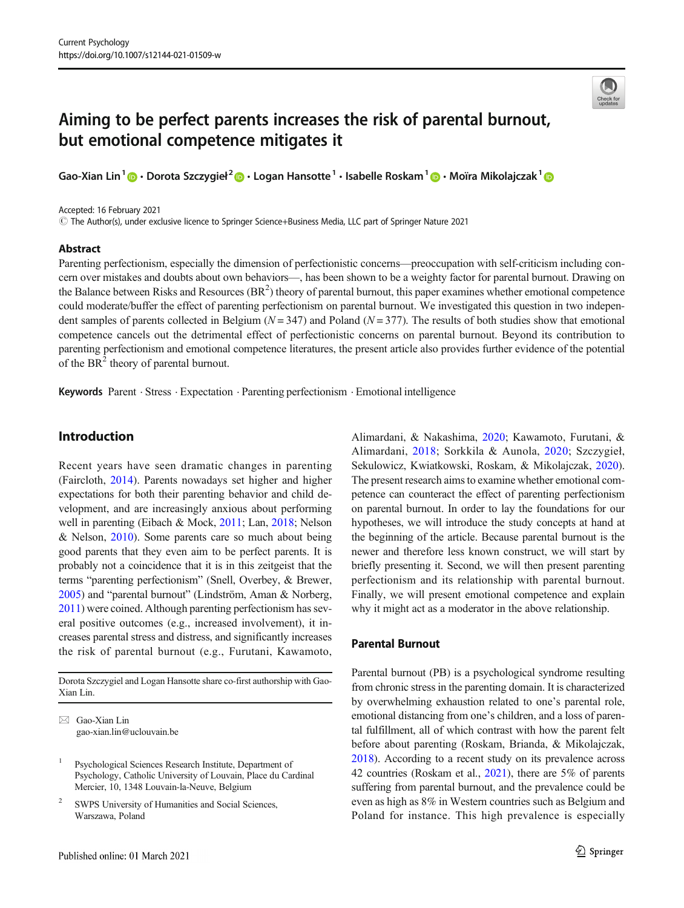# Aiming to be perfect parents increases the risk of parental burnout, but emotional competence mitigates it

Gao-Xian Lin<sup>1</sup> @ • Dorota Szczygieł<sup>2</sup> @ • Logan Hansotte <sup>1</sup> • Isabelle Roskam <sup>1</sup> @ • Moïra Mikolajczak <sup>1</sup>

Accepted: 16 February 2021

# The Author(s), under exclusive licence to Springer Science+Business Media, LLC part of Springer Nature 2021

### Abstract



Parenting perfectionism, especially the dimension of perfectionistic concerns—preoccupation with self-criticism including concern over mistakes and doubts about own behaviors—, has been shown to be a weighty factor for parental burnout. Drawing on the Balance between Risks and Resources  $(BR^2)$  theory of parental burnout, this paper examines whether emotional competence could moderate/buffer the effect of parenting perfectionism on parental burnout. We investigated this question in two independent samples of parents collected in Belgium ( $N = 347$ ) and Poland ( $N = 377$ ). The results of both studies show that emotional competence cancels out the detrimental effect of perfectionistic concerns on parental burnout. Beyond its contribution to parenting perfectionism and emotional competence literatures, the present article also provides further evidence of the potential of the  $BR<sup>2</sup>$  theory of parental burnout.

Keywords Parent . Stress . Expectation . Parenting perfectionism . Emotional intelligence

# Introduction

Recent years have seen dramatic changes in parenting (Faircloth, [2014](#page-7-0)). Parents nowadays set higher and higher expectations for both their parenting behavior and child development, and are increasingly anxious about performing well in parenting (Eibach & Mock, [2011;](#page-7-0) Lan, [2018](#page-8-0); Nelson & Nelson, [2010](#page-8-0)). Some parents care so much about being good parents that they even aim to be perfect parents. It is probably not a coincidence that it is in this zeitgeist that the terms "parenting perfectionism" (Snell, Overbey, & Brewer, [2005\)](#page-8-0) and "parental burnout" (Lindström, Aman & Norberg, [2011\)](#page-8-0) were coined. Although parenting perfectionism has several positive outcomes (e.g., increased involvement), it increases parental stress and distress, and significantly increases the risk of parental burnout (e.g., Furutani, Kawamoto,

Dorota Szczygiel and Logan Hansotte share co-first authorship with Gao-Xian Lin.

 $\boxtimes$  Gao-Xian Lin [gao-xian.lin@uclouvain.be](mailto:gao-xian.lin@uclouvain.be) Alimardani, & Nakashima, [2020](#page-7-0); Kawamoto, Furutani, & Alimardani, [2018](#page-7-0); Sorkkila & Aunola, [2020;](#page-8-0) Szczygieł, Sekulowicz, Kwiatkowski, Roskam, & Mikolajczak, [2020\)](#page-8-0). The present research aims to examine whether emotional competence can counteract the effect of parenting perfectionism on parental burnout. In order to lay the foundations for our hypotheses, we will introduce the study concepts at hand at the beginning of the article. Because parental burnout is the newer and therefore less known construct, we will start by briefly presenting it. Second, we will then present parenting perfectionism and its relationship with parental burnout. Finally, we will present emotional competence and explain why it might act as a moderator in the above relationship.

### Parental Burnout

Parental burnout (PB) is a psychological syndrome resulting from chronic stress in the parenting domain. It is characterized by overwhelming exhaustion related to one's parental role, emotional distancing from one's children, and a loss of parental fulfillment, all of which contrast with how the parent felt before about parenting (Roskam, Brianda, & Mikolajczak, [2018\)](#page-8-0). According to a recent study on its prevalence across 42 countries (Roskam et al., [2021\)](#page-8-0), there are 5% of parents suffering from parental burnout, and the prevalence could be even as high as 8% in Western countries such as Belgium and Poland for instance. This high prevalence is especially

<sup>&</sup>lt;sup>1</sup> Psychological Sciences Research Institute, Department of Psychology, Catholic University of Louvain, Place du Cardinal Mercier, 10, 1348 Louvain-la-Neuve, Belgium

<sup>&</sup>lt;sup>2</sup> SWPS University of Humanities and Social Sciences, Warszawa, Poland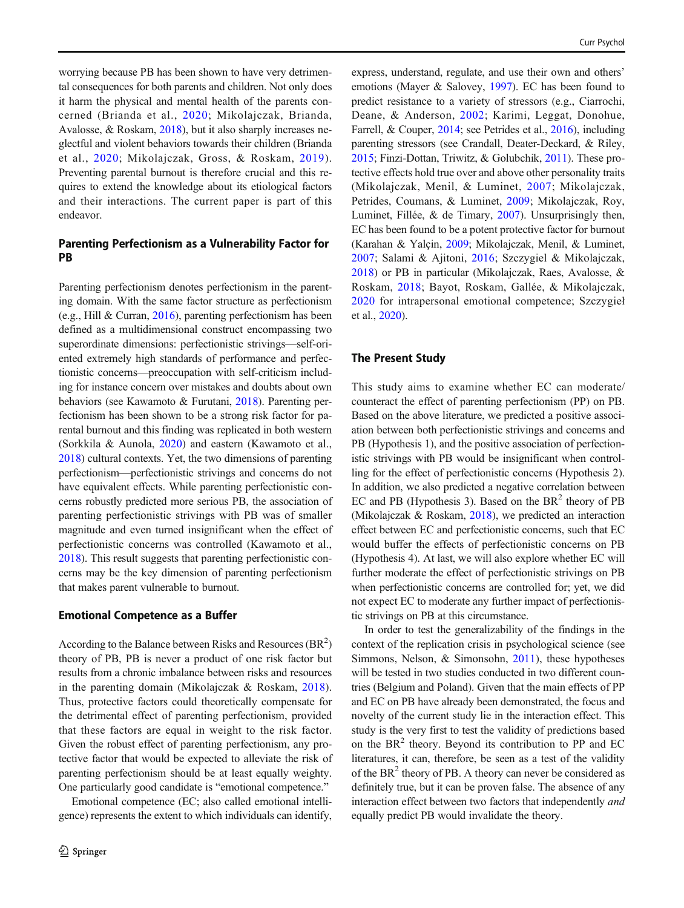worrying because PB has been shown to have very detrimental consequences for both parents and children. Not only does it harm the physical and mental health of the parents concerned (Brianda et al., [2020](#page-7-0); Mikolajczak, Brianda, Avalosse, & Roskam, [2018](#page-8-0)), but it also sharply increases neglectful and violent behaviors towards their children (Brianda et al., [2020;](#page-7-0) Mikolajczak, Gross, & Roskam, [2019\)](#page-8-0). Preventing parental burnout is therefore crucial and this requires to extend the knowledge about its etiological factors and their interactions. The current paper is part of this endeavor.

# Parenting Perfectionism as a Vulnerability Factor for PB

Parenting perfectionism denotes perfectionism in the parenting domain. With the same factor structure as perfectionism (e.g., Hill & Curran, [2016](#page-7-0)), parenting perfectionism has been defined as a multidimensional construct encompassing two superordinate dimensions: perfectionistic strivings—self-oriented extremely high standards of performance and perfectionistic concerns—preoccupation with self-criticism including for instance concern over mistakes and doubts about own behaviors (see Kawamoto & Furutani, [2018\)](#page-7-0). Parenting perfectionism has been shown to be a strong risk factor for parental burnout and this finding was replicated in both western (Sorkkila & Aunola, [2020\)](#page-8-0) and eastern (Kawamoto et al., [2018\)](#page-7-0) cultural contexts. Yet, the two dimensions of parenting perfectionism—perfectionistic strivings and concerns do not have equivalent effects. While parenting perfectionistic concerns robustly predicted more serious PB, the association of parenting perfectionistic strivings with PB was of smaller magnitude and even turned insignificant when the effect of perfectionistic concerns was controlled (Kawamoto et al., [2018\)](#page-7-0). This result suggests that parenting perfectionistic concerns may be the key dimension of parenting perfectionism that makes parent vulnerable to burnout.

### Emotional Competence as a Buffer

According to the Balance between Risks and Resources  $(BR^2)$ theory of PB, PB is never a product of one risk factor but results from a chronic imbalance between risks and resources in the parenting domain (Mikolajczak & Roskam, [2018](#page-8-0)). Thus, protective factors could theoretically compensate for the detrimental effect of parenting perfectionism, provided that these factors are equal in weight to the risk factor. Given the robust effect of parenting perfectionism, any protective factor that would be expected to alleviate the risk of parenting perfectionism should be at least equally weighty. One particularly good candidate is "emotional competence."

Emotional competence (EC; also called emotional intelligence) represents the extent to which individuals can identify, express, understand, regulate, and use their own and others' emotions (Mayer & Salovey, [1997](#page-8-0)). EC has been found to predict resistance to a variety of stressors (e.g., Ciarrochi, Deane, & Anderson, [2002](#page-7-0); Karimi, Leggat, Donohue, Farrell, & Couper, [2014;](#page-7-0) see Petrides et al., [2016](#page-8-0)), including parenting stressors (see Crandall, Deater-Deckard, & Riley, [2015;](#page-7-0) Finzi-Dottan, Triwitz, & Golubchik, [2011](#page-7-0)). These protective effects hold true over and above other personality traits (Mikolajczak, Menil, & Luminet, [2007;](#page-8-0) Mikolajczak, Petrides, Coumans, & Luminet, [2009;](#page-8-0) Mikolajczak, Roy, Luminet, Fillée, & de Timary, [2007\)](#page-8-0). Unsurprisingly then, EC has been found to be a potent protective factor for burnout (Karahan & Yalçin, [2009](#page-7-0); Mikolajczak, Menil, & Luminet, [2007](#page-8-0); Salami & Ajitoni, [2016;](#page-8-0) Szczygiel & Mikolajczak, [2018\)](#page-8-0) or PB in particular (Mikolajczak, Raes, Avalosse, & Roskam, [2018](#page-8-0); Bayot, Roskam, Gallée, & Mikolajczak, [2020](#page-7-0) for intrapersonal emotional competence; Szczygieł et al., [2020\)](#page-8-0).

# The Present Study

This study aims to examine whether EC can moderate/ counteract the effect of parenting perfectionism (PP) on PB. Based on the above literature, we predicted a positive association between both perfectionistic strivings and concerns and PB (Hypothesis 1), and the positive association of perfectionistic strivings with PB would be insignificant when controlling for the effect of perfectionistic concerns (Hypothesis 2). In addition, we also predicted a negative correlation between EC and PB (Hypothesis 3). Based on the  $BR<sup>2</sup>$  theory of PB (Mikolajczak & Roskam, [2018\)](#page-8-0), we predicted an interaction effect between EC and perfectionistic concerns, such that EC would buffer the effects of perfectionistic concerns on PB (Hypothesis 4). At last, we will also explore whether EC will further moderate the effect of perfectionistic strivings on PB when perfectionistic concerns are controlled for; yet, we did not expect EC to moderate any further impact of perfectionistic strivings on PB at this circumstance.

In order to test the generalizability of the findings in the context of the replication crisis in psychological science (see Simmons, Nelson, & Simonsohn, [2011\)](#page-8-0), these hypotheses will be tested in two studies conducted in two different countries (Belgium and Poland). Given that the main effects of PP and EC on PB have already been demonstrated, the focus and novelty of the current study lie in the interaction effect. This study is the very first to test the validity of predictions based on the  $BR<sup>2</sup>$  theory. Beyond its contribution to PP and EC literatures, it can, therefore, be seen as a test of the validity of the  $BR<sup>2</sup>$  theory of PB. A theory can never be considered as definitely true, but it can be proven false. The absence of any interaction effect between two factors that independently and equally predict PB would invalidate the theory.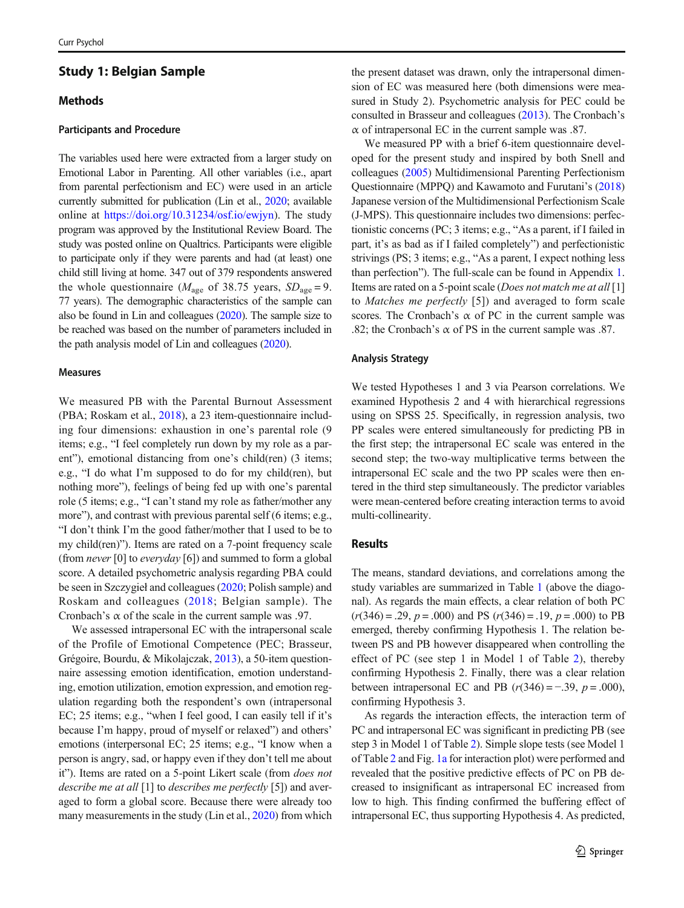# Study 1: Belgian Sample

## **Methods**

### Participants and Procedure

The variables used here were extracted from a larger study on Emotional Labor in Parenting. All other variables (i.e., apart from parental perfectionism and EC) were used in an article currently submitted for publication (Lin et al., [2020;](#page-8-0) available online at [https://doi.org/10.31234/osf.io/ewjyn\)](https://doi.org/10.31234/osf.io/ewjyn). The study program was approved by the Institutional Review Board. The study was posted online on Qualtrics. Participants were eligible to participate only if they were parents and had (at least) one child still living at home. 347 out of 379 respondents answered the whole questionnaire ( $M_{\text{age}}$  of 38.75 years,  $SD_{\text{age}} = 9$ . 77 years). The demographic characteristics of the sample can also be found in Lin and colleagues [\(2020](#page-8-0)). The sample size to be reached was based on the number of parameters included in the path analysis model of Lin and colleagues ([2020\)](#page-8-0).

### Measures

We measured PB with the Parental Burnout Assessment (PBA; Roskam et al., [2018\)](#page-8-0), a 23 item-questionnaire including four dimensions: exhaustion in one's parental role (9 items; e.g., "I feel completely run down by my role as a parent"), emotional distancing from one's child(ren) (3 items; e.g., "I do what I'm supposed to do for my child(ren), but nothing more"), feelings of being fed up with one's parental role (5 items; e.g., "I can't stand my role as father/mother any more"), and contrast with previous parental self (6 items; e.g., "I don't think I'm the good father/mother that I used to be to my child(ren)"). Items are rated on a 7-point frequency scale (from *never* [0] to *everyday* [6]) and summed to form a global score. A detailed psychometric analysis regarding PBA could be seen in Szczygieł and colleagues [\(2020;](#page-8-0) Polish sample) and Roskam and colleagues ([2018](#page-8-0); Belgian sample). The Cronbach's  $\alpha$  of the scale in the current sample was .97.

We assessed intrapersonal EC with the intrapersonal scale of the Profile of Emotional Competence (PEC; Brasseur, Grégoire, Bourdu, & Mikolajczak, [2013](#page-7-0)), a 50-item questionnaire assessing emotion identification, emotion understanding, emotion utilization, emotion expression, and emotion regulation regarding both the respondent's own (intrapersonal EC; 25 items; e.g., "when I feel good, I can easily tell if it's because I'm happy, proud of myself or relaxed") and others' emotions (interpersonal EC; 25 items; e.g., "I know when a person is angry, sad, or happy even if they don't tell me about it"). Items are rated on a 5-point Likert scale (from *does not* describe me at all [1] to describes me perfectly [5]) and averaged to form a global score. Because there were already too many measurements in the study (Lin et al., [2020](#page-8-0)) from which

the present dataset was drawn, only the intrapersonal dimension of EC was measured here (both dimensions were measured in Study 2). Psychometric analysis for PEC could be consulted in Brasseur and colleagues [\(2013](#page-7-0)). The Cronbach's  $\alpha$  of intrapersonal EC in the current sample was .87.

We measured PP with a brief 6-item questionnaire developed for the present study and inspired by both Snell and colleagues [\(2005\)](#page-8-0) Multidimensional Parenting Perfectionism Questionnaire (MPPQ) and Kawamoto and Furutani's [\(2018](#page-7-0)) Japanese version of the Multidimensional Perfectionism Scale (J-MPS). This questionnaire includes two dimensions: perfectionistic concerns (PC; 3 items; e.g., "As a parent, if I failed in part, it's as bad as if I failed completely") and perfectionistic strivings (PS; 3 items; e.g., "As a parent, I expect nothing less than perfection"). The full-scale can be found in Appendix [1.](#page-7-0) Items are rated on a 5-point scale (*Does not match me at all* [1] to Matches me perfectly [5]) and averaged to form scale scores. The Cronbach's  $\alpha$  of PC in the current sample was .82; the Cronbach's  $\alpha$  of PS in the current sample was .87.

#### Analysis Strategy

We tested Hypotheses 1 and 3 via Pearson correlations. We examined Hypothesis 2 and 4 with hierarchical regressions using on SPSS 25. Specifically, in regression analysis, two PP scales were entered simultaneously for predicting PB in the first step; the intrapersonal EC scale was entered in the second step; the two-way multiplicative terms between the intrapersonal EC scale and the two PP scales were then entered in the third step simultaneously. The predictor variables were mean-centered before creating interaction terms to avoid multi-collinearity.

### Results

The means, standard deviations, and correlations among the study variables are summarized in Table [1](#page-3-0) (above the diagonal). As regards the main effects, a clear relation of both PC  $(r(346) = .29, p = .000)$  and PS  $(r(346) = .19, p = .000)$  to PB emerged, thereby confirming Hypothesis 1. The relation between PS and PB however disappeared when controlling the effect of PC (see step 1 in Model 1 of Table [2\)](#page-4-0), thereby confirming Hypothesis 2. Finally, there was a clear relation between intrapersonal EC and PB  $(r(346) = -.39, p = .000)$ , confirming Hypothesis 3.

As regards the interaction effects, the interaction term of PC and intrapersonal EC was significant in predicting PB (see step 3 in Model 1 of Table [2\)](#page-4-0). Simple slope tests (see Model 1 of Table [2](#page-4-0) and Fig. [1a](#page-5-0) for interaction plot) were performed and revealed that the positive predictive effects of PC on PB decreased to insignificant as intrapersonal EC increased from low to high. This finding confirmed the buffering effect of intrapersonal EC, thus supporting Hypothesis 4. As predicted,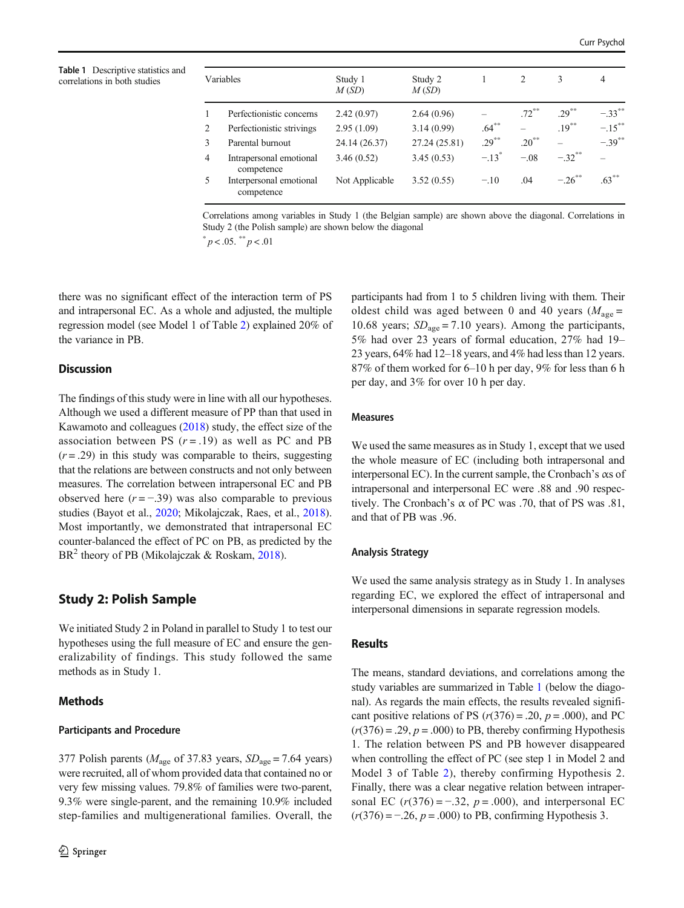<span id="page-3-0"></span>Table 1 Descriptive statistics and correlations in both studies

| Variables      |                                       | Study 1<br>M(SD) | Study 2<br>M(SD) |           | 2        | 3          | 4         |
|----------------|---------------------------------------|------------------|------------------|-----------|----------|------------|-----------|
| $\mathbf{1}$   | Perfectionistic concerns              | 2.42(0.97)       | 2.64(0.96)       |           | $.72***$ | $.29***$   | $-.33***$ |
| $\overline{2}$ | Perfectionistic strivings             | 2.95(1.09)       | 3.14(0.99)       | $.64***$  |          | $.19***$   | $-.15***$ |
| 3              | Parental burnout                      | 24.14 (26.37)    | 27.24 (25.81)    | $.29***$  | $.20***$ |            | $-.39***$ |
| 4              | Intrapersonal emotional<br>competence | 3.46(0.52)       | 3.45(0.53)       | $-13^{*}$ | $-.08$   | $-.32***$  |           |
| 5.             | Interpersonal emotional<br>competence | Not Applicable   | 3.52(0.55)       | $-.10$    | .04      | $-26^{**}$ | $.63***$  |

Correlations among variables in Study 1 (the Belgian sample) are shown above the diagonal. Correlations in Study 2 (the Polish sample) are shown below the diagonal

 $p < .05.$  \*\*  $p < .01$ 

there was no significant effect of the interaction term of PS and intrapersonal EC. As a whole and adjusted, the multiple regression model (see Model 1 of Table [2](#page-4-0)) explained 20% of the variance in PB.

## **Discussion**

The findings of this study were in line with all our hypotheses. Although we used a different measure of PP than that used in Kawamoto and colleagues [\(2018\)](#page-7-0) study, the effect size of the association between PS  $(r = .19)$  as well as PC and PB  $(r = .29)$  in this study was comparable to theirs, suggesting that the relations are between constructs and not only between measures. The correlation between intrapersonal EC and PB observed here  $(r = -39)$  was also comparable to previous studies (Bayot et al., [2020;](#page-7-0) Mikolajczak, Raes, et al., [2018\)](#page-8-0). Most importantly, we demonstrated that intrapersonal EC counter-balanced the effect of PC on PB, as predicted by the BR<sup>2</sup> theory of PB (Mikolajczak & Roskam, [2018](#page-8-0)).

# Study 2: Polish Sample

We initiated Study 2 in Poland in parallel to Study 1 to test our hypotheses using the full measure of EC and ensure the generalizability of findings. This study followed the same methods as in Study 1.

### Methods

### Participants and Procedure

377 Polish parents ( $M_{\text{age}}$  of 37.83 years,  $SD_{\text{age}} = 7.64$  years) were recruited, all of whom provided data that contained no or very few missing values. 79.8% of families were two-parent, 9.3% were single-parent, and the remaining 10.9% included step-families and multigenerational families. Overall, the participants had from 1 to 5 children living with them. Their oldest child was aged between 0 and 40 years ( $M_{\text{age}} =$ 10.68 years;  $SD<sub>age</sub> = 7.10$  years). Among the participants, 5% had over 23 years of formal education, 27% had 19– 23 years, 64% had 12–18 years, and 4% had less than 12 years. 87% of them worked for 6–10 h per day, 9% for less than 6 h per day, and 3% for over 10 h per day.

### Measures

We used the same measures as in Study 1, except that we used the whole measure of EC (including both intrapersonal and interpersonal EC). In the current sample, the Cronbach's αs of intrapersonal and interpersonal EC were .88 and .90 respectively. The Cronbach's  $\alpha$  of PC was .70, that of PS was .81, and that of PB was .96.

### Analysis Strategy

We used the same analysis strategy as in Study 1. In analyses regarding EC, we explored the effect of intrapersonal and interpersonal dimensions in separate regression models.

### Results

The means, standard deviations, and correlations among the study variables are summarized in Table 1 (below the diagonal). As regards the main effects, the results revealed significant positive relations of PS  $(r(376) = .20, p = .000)$ , and PC  $(r(376) = .29, p = .000)$  to PB, thereby confirming Hypothesis 1. The relation between PS and PB however disappeared when controlling the effect of PC (see step 1 in Model 2 and Model 3 of Table [2](#page-4-0)), thereby confirming Hypothesis 2. Finally, there was a clear negative relation between intrapersonal EC  $(r(376) = -.32, p = .000)$ , and interpersonal EC  $(r(376) = -.26, p = .000)$  to PB, confirming Hypothesis 3.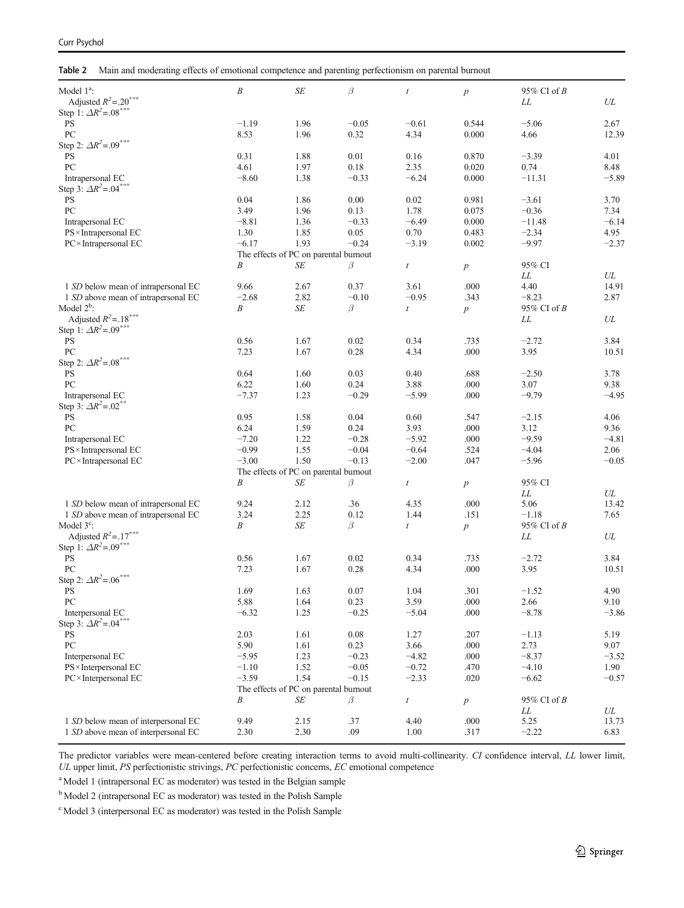<span id="page-4-0"></span>Table 2 Main and moderating effects of emotional competence and parenting perfectionism on parental burnout

| Model 1 <sup>a</sup> :<br>Adjusted $R^2 = .20^{***}$ | $\cal B$ | SE                                    | $\beta$  | $\boldsymbol{t}$ | $\boldsymbol{p}$ | 95% CI of B<br>LL | ${\it UL}$ |
|------------------------------------------------------|----------|---------------------------------------|----------|------------------|------------------|-------------------|------------|
| Step 1: $\Delta R^2 = .08$ ***                       |          |                                       |          |                  |                  |                   |            |
| <b>PS</b>                                            | $-1.19$  | 1.96                                  | $-0.05$  | $-0.61$          | 0.544            | $-5.06$           | 2.67       |
| PC                                                   | 8.53     | 1.96                                  | 0.32     | 4.34             | 0.000            | 4.66              | 12.39      |
| Step 2: $\Delta R^2 = .09$ ***                       |          |                                       |          |                  |                  |                   |            |
| <b>PS</b>                                            | 0.31     | 1.88                                  | 0.01     | 0.16             | 0.870            | $-3.39$           | 4.01       |
| PC                                                   | 4.61     | 1.97                                  | 0.18     | 2.35             | 0.020            | 0.74              | 8.48       |
| Intrapersonal EC                                     | $-8.60$  | 1.38                                  | $-0.33$  | $-6.24$          | 0.000            | $-11.31$          | $-5.89$    |
| Step 3: $\Delta R^2 = 0.04***$                       |          |                                       |          |                  |                  |                   |            |
| <b>PS</b>                                            | 0.04     | 1.86                                  | $0.00\,$ | 0.02             | 0.981            | $-3.61$           | 3.70       |
| PC                                                   | 3.49     | 1.96                                  | 0.13     | 1.78             | 0.075            | $-0.36$           | 7.34       |
| Intrapersonal EC                                     | $-8.81$  | 1.36                                  | $-0.33$  | $-6.49$          | 0.000            | $-11.48$          | $-6.14$    |
| PS × Intrapersonal EC                                | 1.30     | 1.85                                  | 0.05     | 0.70             | 0.483            | $-2.34$           | 4.95       |
| PC × Intrapersonal EC                                | $-6.17$  | 1.93                                  | $-0.24$  | $-3.19$          | 0.002            | $-9.97$           | $-2.37$    |
|                                                      |          | The effects of PC on parental burnout |          |                  |                  |                   |            |
|                                                      | Β        | SE                                    | β        | $\boldsymbol{t}$ | $\boldsymbol{p}$ | 95% CI            |            |
|                                                      |          |                                       |          |                  |                  | ${\it LL}$        | UL         |
| 1 SD below mean of intrapersonal EC                  | 9.66     | 2.67                                  | 0.37     | 3.61             | .000             | 4.40              | 14.91      |
| 1 SD above mean of intrapersonal EC                  | $-2.68$  | 2.82                                  | $-0.10$  | $-0.95$          | .343             | $-8.23$           | 2.87       |
| Model $2^b$ :                                        | B        | $\cal SE$                             | β        | $\boldsymbol{t}$ | $\boldsymbol{p}$ | 95% CI of B       |            |
| Adjusted $R^2 = .18^{***}$                           |          |                                       |          |                  |                  | LL                | UL         |
| Step 1: $\Delta R^2 = .09^{***}$                     |          |                                       |          |                  |                  |                   |            |
| <b>PS</b>                                            | 0.56     | 1.67                                  | 0.02     | 0.34             | .735             | $-2.72$           | 3.84       |
| PC                                                   | 7.23     | 1.67                                  | 0.28     | 4.34             | .000             | 3.95              | 10.51      |
| Step 2: $\Delta R^2 = .08$ ***                       |          |                                       |          |                  |                  |                   |            |
| <b>PS</b>                                            | 0.64     | 1.60                                  | 0.03     | 0.40             | .688             | $-2.50$           | 3.78       |
| PC                                                   | 6.22     | 1.60                                  | 0.24     | 3.88             | .000             | 3.07              | 9.38       |
| Intrapersonal EC                                     | $-7.37$  | 1.23                                  | $-0.29$  | $-5.99$          | .000             | $-9.79$           | $-4.95$    |
| Step 3: $\Delta R^2 = .02^{**}$                      |          |                                       |          |                  |                  |                   |            |
| <b>PS</b>                                            | 0.95     | 1.58                                  | 0.04     | 0.60             | .547             | $-2.15$           | 4.06       |
| PC                                                   | 6.24     | 1.59                                  | 0.24     | 3.93             | .000             | 3.12              | 9.36       |
| Intrapersonal EC                                     | $-7.20$  | 1.22                                  | $-0.28$  | $-5.92$          | .000             | $-9.59$           | $-4.81$    |
| PS × Intrapersonal EC                                | $-0.99$  | 1.55                                  | $-0.04$  | $-0.64$          | .524             | $-4.04$           | 2.06       |
| $PC \times Intrapersonal EC$                         | $-3.00$  | 1.50                                  | $-0.13$  | $-2.00$          | .047             | $-5.96$           | $-0.05$    |
|                                                      |          | The effects of PC on parental burnout |          |                  |                  |                   |            |
|                                                      | B        | SE                                    | β        | $\boldsymbol{t}$ | $\boldsymbol{p}$ | 95% CI            |            |
|                                                      |          |                                       |          |                  |                  | ${\it LL}$        | UL         |
| 1 SD below mean of intrapersonal EC                  | 9.24     | 2.12                                  | .36      | 4.35             | .000             | 5.06              | 13.42      |
| 1 SD above mean of intrapersonal EC                  | 3.24     | 2.25                                  | 0.12     | 1.44             | .151             | $-1.18$           | 7.65       |
| Model $3^{\circ}$ :                                  | Β        | $\cal SE$                             | β        | $\boldsymbol{t}$ | $\boldsymbol{p}$ | 95% CI of $B$     |            |
| Adjusted $R^2 = .17***$                              |          |                                       |          |                  |                  | LL                | UL         |
| Step 1: $\Delta R^2 = .09^{***}$                     |          |                                       |          |                  |                  |                   |            |
| <b>PS</b>                                            | 0.56     | 1.67                                  | 0.02     | 0.34             | .735             | $-2.72$           | 3.84       |
| PC                                                   | 7.23     | 1.67                                  | 0.28     | 4.34             | .000             | 3.95              | 10.51      |
| Step 2: $\Delta R^2 = .06^{***}$                     |          |                                       |          |                  |                  |                   |            |
| <b>PS</b>                                            | 1.69     | 1.63                                  | 0.07     | 1.04             | .301             | $-1.52$           | 4.90       |
| PC                                                   | 5.88     | 1.64                                  | 0.23     | 3.59             | .000             | 2.66              | 9.10       |
| Interpersonal EC                                     | $-6.32$  | 1.25                                  | $-0.25$  | $-5.04$          | .000             | $-8.78$           | $-3.86$    |
| Step 3: $\Delta R^2 = .04^{***}$                     |          |                                       |          |                  |                  |                   |            |
| <b>PS</b>                                            | 2.03     | 1.61                                  | 0.08     | 1.27             | .207             | $-1.13$           | 5.19       |
| PC                                                   | 5.90     | 1.61                                  | 0.23     | 3.66             | .000             | 2.73              | 9.07       |
| Interpersonal EC                                     | $-5.95$  | 1.23                                  | $-0.23$  | $-4.82$          | .000             | $-8.37$           | $-3.52$    |
| PS × Interpersonal EC                                | $-1.10$  | 1.52                                  | $-0.05$  | $-0.72$          | .470             | $-4.10$           | 1.90       |
| PC × Interpersonal EC                                | $-3.59$  | 1.54                                  | $-0.15$  | $-2.33$          | .020             | $-6.62$           | $-0.57$    |
|                                                      |          | The effects of PC on parental burnout |          |                  |                  |                   |            |
|                                                      | Β        | SE                                    | β        | $\boldsymbol{t}$ | $\boldsymbol{p}$ | 95% CI of B       |            |
|                                                      |          |                                       |          |                  |                  | LL                | UL         |
| 1 SD below mean of interpersonal EC                  | 9.49     | 2.15                                  | .37      | 4.40             | .000             | 5.25              | 13.73      |
| 1 SD above mean of interpersonal EC                  | 2.30     | 2.30                                  | .09      | 1.00             | .317             | $-2.22$           | 6.83       |

The predictor variables were mean-centered before creating interaction terms to avoid multi-collinearity. CI confidence interval, LL lower limit, UL upper limit, PS perfectionistic strivings, PC perfectionistic concerns, EC emotional competence

<sup>a</sup> Model 1 (intrapersonal EC as moderator) was tested in the Belgian sample

<sup>b</sup> Model 2 (intrapersonal EC as moderator) was tested in the Polish Sample

<sup>c</sup> Model 3 (interpersonal EC as moderator) was tested in the Polish Sample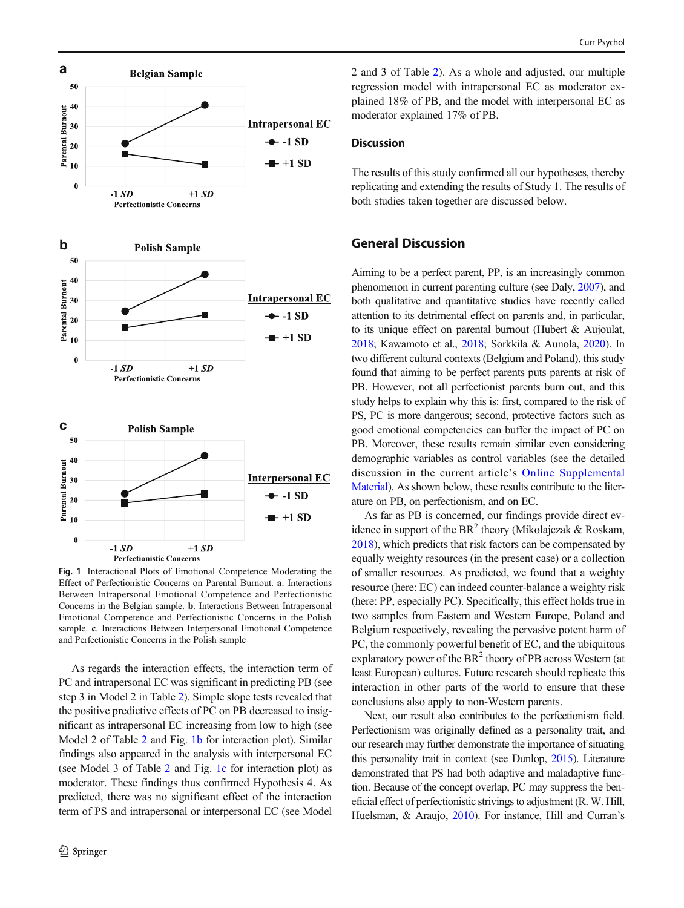<span id="page-5-0"></span>

Fig. 1 Interactional Plots of Emotional Competence Moderating the Effect of Perfectionistic Concerns on Parental Burnout. a. Interactions Between Intrapersonal Emotional Competence and Perfectionistic Concerns in the Belgian sample. b. Interactions Between Intrapersonal Emotional Competence and Perfectionistic Concerns in the Polish sample. c. Interactions Between Interpersonal Emotional Competence and Perfectionistic Concerns in the Polish sample

As regards the interaction effects, the interaction term of PC and intrapersonal EC was significant in predicting PB (see step 3 in Model 2 in Table [2](#page-4-0)). Simple slope tests revealed that the positive predictive effects of PC on PB decreased to insignificant as intrapersonal EC increasing from low to high (see Model 2 of Table [2](#page-4-0) and Fig. 1b for interaction plot). Similar findings also appeared in the analysis with interpersonal EC (see Model 3 of Table [2](#page-4-0) and Fig. 1c for interaction plot) as moderator. These findings thus confirmed Hypothesis 4. As predicted, there was no significant effect of the interaction term of PS and intrapersonal or interpersonal EC (see Model 2 and 3 of Table [2](#page-4-0)). As a whole and adjusted, our multiple regression model with intrapersonal EC as moderator explained 18% of PB, and the model with interpersonal EC as moderator explained 17% of PB.

# **Discussion**

The results of this study confirmed all our hypotheses, thereby replicating and extending the results of Study 1. The results of both studies taken together are discussed below.

# General Discussion

Aiming to be a perfect parent, PP, is an increasingly common phenomenon in current parenting culture (see Daly, [2007\)](#page-7-0), and both qualitative and quantitative studies have recently called attention to its detrimental effect on parents and, in particular, to its unique effect on parental burnout (Hubert & Aujoulat, [2018](#page-7-0); Kawamoto et al., [2018](#page-7-0); Sorkkila & Aunola, [2020](#page-8-0)). In two different cultural contexts (Belgium and Poland), this study found that aiming to be perfect parents puts parents at risk of PB. However, not all perfectionist parents burn out, and this study helps to explain why this is: first, compared to the risk of PS, PC is more dangerous; second, protective factors such as good emotional competencies can buffer the impact of PC on PB. Moreover, these results remain similar even considering demographic variables as control variables (see the detailed discussion in the current article's Online Supplemental Material). As shown below, these results contribute to the literature on PB, on perfectionism, and on EC.

As far as PB is concerned, our findings provide direct evidence in support of the  $BR^2$  theory (Mikolajczak & Roskam, [2018\)](#page-8-0), which predicts that risk factors can be compensated by equally weighty resources (in the present case) or a collection of smaller resources. As predicted, we found that a weighty resource (here: EC) can indeed counter-balance a weighty risk (here: PP, especially PC). Specifically, this effect holds true in two samples from Eastern and Western Europe, Poland and Belgium respectively, revealing the pervasive potent harm of PC, the commonly powerful benefit of EC, and the ubiquitous explanatory power of the  $BR<sup>2</sup>$  theory of PB across Western (at least European) cultures. Future research should replicate this interaction in other parts of the world to ensure that these conclusions also apply to non-Western parents.

Next, our result also contributes to the perfectionism field. Perfectionism was originally defined as a personality trait, and our research may further demonstrate the importance of situating this personality trait in context (see Dunlop, [2015](#page-7-0)). Literature demonstrated that PS had both adaptive and maladaptive function. Because of the concept overlap, PC may suppress the beneficial effect of perfectionistic strivings to adjustment (R. W. Hill, Huelsman, & Araujo, [2010](#page-7-0)). For instance, Hill and Curran's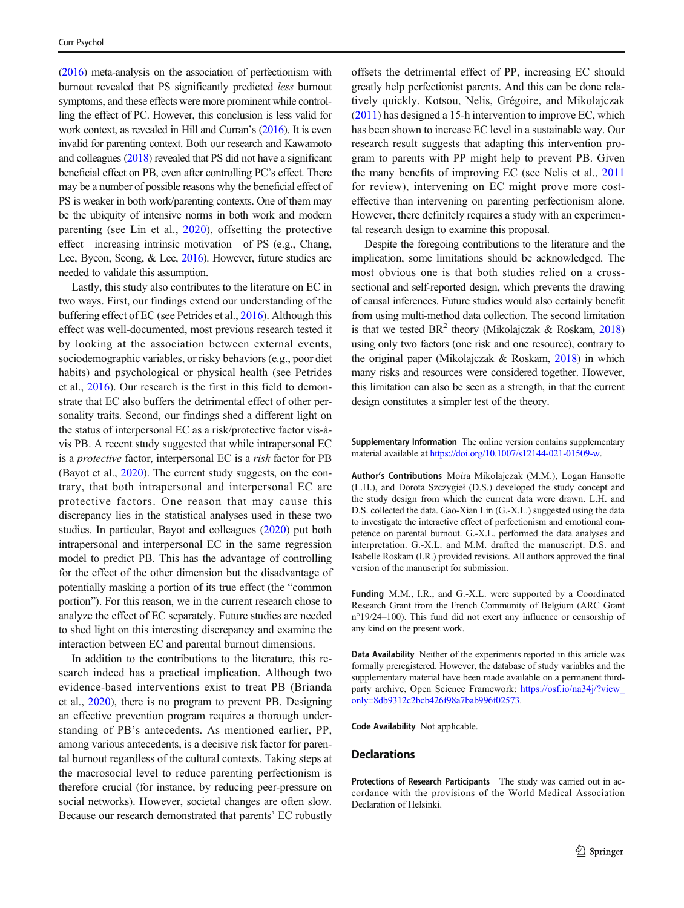[\(2016\)](#page-7-0) meta-analysis on the association of perfectionism with burnout revealed that PS significantly predicted less burnout symptoms, and these effects were more prominent while controlling the effect of PC. However, this conclusion is less valid for work context, as revealed in Hill and Curran's [\(2016](#page-7-0)). It is even invalid for parenting context. Both our research and Kawamoto and colleagues ([2018](#page-7-0)) revealed that PS did not have a significant beneficial effect on PB, even after controlling PC's effect. There may be a number of possible reasons why the beneficial effect of PS is weaker in both work/parenting contexts. One of them may be the ubiquity of intensive norms in both work and modern parenting (see Lin et al., [2020\)](#page-8-0), offsetting the protective effect—increasing intrinsic motivation—of PS (e.g., Chang, Lee, Byeon, Seong, & Lee, [2016\)](#page-7-0). However, future studies are needed to validate this assumption.

Lastly, this study also contributes to the literature on EC in two ways. First, our findings extend our understanding of the buffering effect of EC (see Petrides et al., [2016](#page-8-0)). Although this effect was well-documented, most previous research tested it by looking at the association between external events, sociodemographic variables, or risky behaviors (e.g., poor diet habits) and psychological or physical health (see Petrides et al., [2016](#page-8-0)). Our research is the first in this field to demonstrate that EC also buffers the detrimental effect of other personality traits. Second, our findings shed a different light on the status of interpersonal EC as a risk/protective factor vis-àvis PB. A recent study suggested that while intrapersonal EC is a *protective* factor, interpersonal EC is a risk factor for PB (Bayot et al., [2020\)](#page-7-0). The current study suggests, on the contrary, that both intrapersonal and interpersonal EC are protective factors. One reason that may cause this discrepancy lies in the statistical analyses used in these two studies. In particular, Bayot and colleagues ([2020](#page-7-0)) put both intrapersonal and interpersonal EC in the same regression model to predict PB. This has the advantage of controlling for the effect of the other dimension but the disadvantage of potentially masking a portion of its true effect (the "common portion"). For this reason, we in the current research chose to analyze the effect of EC separately. Future studies are needed to shed light on this interesting discrepancy and examine the interaction between EC and parental burnout dimensions.

In addition to the contributions to the literature, this research indeed has a practical implication. Although two evidence-based interventions exist to treat PB (Brianda et al., [2020](#page-7-0)), there is no program to prevent PB. Designing an effective prevention program requires a thorough understanding of PB's antecedents. As mentioned earlier, PP, among various antecedents, is a decisive risk factor for parental burnout regardless of the cultural contexts. Taking steps at the macrosocial level to reduce parenting perfectionism is therefore crucial (for instance, by reducing peer-pressure on social networks). However, societal changes are often slow. Because our research demonstrated that parents' EC robustly offsets the detrimental effect of PP, increasing EC should greatly help perfectionist parents. And this can be done relatively quickly. Kotsou, Nelis, Grégoire, and Mikolajczak [\(2011\)](#page-8-0) has designed a 15-h intervention to improve EC, which has been shown to increase EC level in a sustainable way. Our research result suggests that adapting this intervention program to parents with PP might help to prevent PB. Given the many benefits of improving EC (see Nelis et al., [2011](#page-8-0) for review), intervening on EC might prove more costeffective than intervening on parenting perfectionism alone. However, there definitely requires a study with an experimental research design to examine this proposal.

Despite the foregoing contributions to the literature and the implication, some limitations should be acknowledged. The most obvious one is that both studies relied on a crosssectional and self-reported design, which prevents the drawing of causal inferences. Future studies would also certainly benefit from using multi-method data collection. The second limitation is that we tested  $BR<sup>2</sup>$  theory (Mikolajczak & Roskam, [2018](#page-8-0)) using only two factors (one risk and one resource), contrary to the original paper (Mikolajczak & Roskam, [2018\)](#page-8-0) in which many risks and resources were considered together. However, this limitation can also be seen as a strength, in that the current design constitutes a simpler test of the theory.

Supplementary Information The online version contains supplementary material available at [https://doi.org/10.1007/s12144-021-01509-w](https://doi.org/10.1177/0956797610397057).

Author's Contributions Moïra Mikolajczak (M.M.), Logan Hansotte (L.H.), and Dorota Szczygieł (D.S.) developed the study concept and the study design from which the current data were drawn. L.H. and D.S. collected the data. Gao-Xian Lin (G.-X.L.) suggested using the data to investigate the interactive effect of perfectionism and emotional competence on parental burnout. G.-X.L. performed the data analyses and interpretation. G.-X.L. and M.M. drafted the manuscript. D.S. and Isabelle Roskam (I.R.) provided revisions. All authors approved the final version of the manuscript for submission.

Funding M.M., I.R., and G.-X.L. were supported by a Coordinated Research Grant from the French Community of Belgium (ARC Grant n°19/24–100). This fund did not exert any influence or censorship of any kind on the present work.

Data Availability Neither of the experiments reported in this article was formally preregistered. However, the database of study variables and the supplementary material have been made available on a permanent thirdparty archive, Open Science Framework: [https://osf.io/na34j/?view\\_](https://osf.io/na34j/?view_only=8db9312c2bcb426f98a7bab996f02573) [only=8db9312c2bcb426f98a7bab996f02573.](https://osf.io/na34j/?view_only=8db9312c2bcb426f98a7bab996f02573)

Code Availability Not applicable.

### **Declarations**

Protections of Research Participants The study was carried out in accordance with the provisions of the World Medical Association Declaration of Helsinki.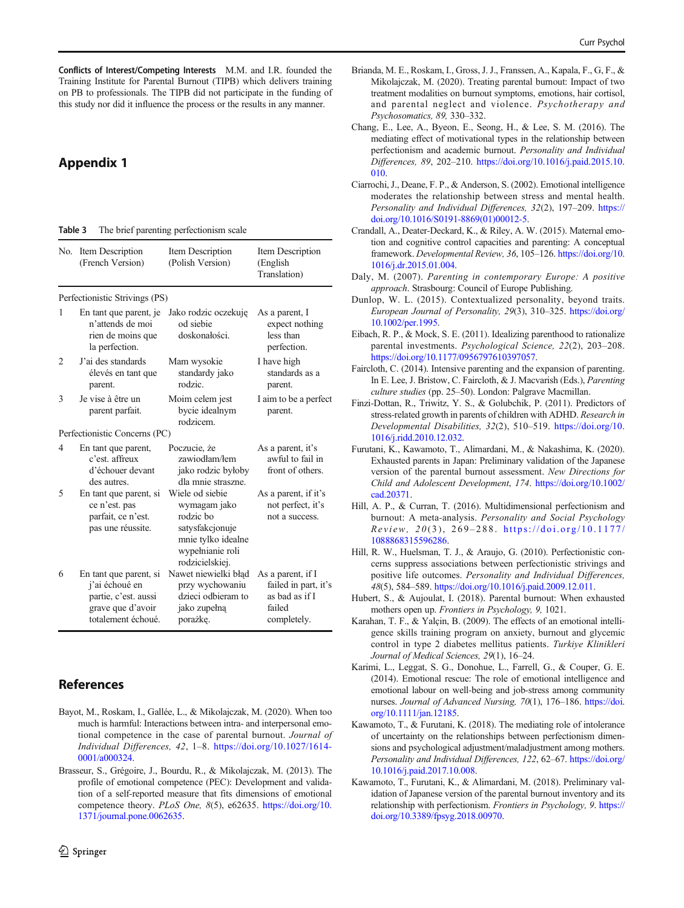<span id="page-7-0"></span>Conflicts of Interest/Competing Interests M.M. and I.R. founded the Training Institute for Parental Burnout (TIPB) which delivers training on PB to professionals. The TIPB did not participate in the funding of this study nor did it influence the process or the results in any manner.

# Appendix 1

#### Table 3 The brief parenting perfectionism scale

| No. | Item Description<br>(French Version)                                                                        | Item Description<br>(Polish Version)                                                                                         | Item Description<br>(English)<br>Translation)                                        |
|-----|-------------------------------------------------------------------------------------------------------------|------------------------------------------------------------------------------------------------------------------------------|--------------------------------------------------------------------------------------|
|     | Perfectionistic Strivings (PS)                                                                              |                                                                                                                              |                                                                                      |
| 1   | En tant que parent, je<br>n'attends de moi<br>rien de moins que<br>la perfection.                           | Jako rodzic oczekuję<br>od siebie<br>doskonałości.                                                                           | As a parent, I<br>expect nothing<br>less than<br>perfection.                         |
| 2   | J'ai des standards<br>élevés en tant que<br>parent.                                                         | Mam wysokie<br>standardy jako<br>rodzie.                                                                                     | I have high<br>standards as a<br>parent.                                             |
| 3   | Je vise à être un<br>parent parfait.                                                                        | Moim celem jest<br>bycie idealnym<br>rodzicem.                                                                               | I aim to be a perfect<br>parent.                                                     |
|     | Perfectionistic Concerns (PC)                                                                               |                                                                                                                              |                                                                                      |
| 4   | En tant que parent,<br>c'est. affreux<br>d'échouer devant<br>des autres.                                    | Poczucie, że<br>zawiodłam/łem<br>jako rodzie byłoby<br>dla mnie straszne.                                                    | As a parent, it's<br>awful to fail in<br>front of others.                            |
| 5   | En tant que parent, si<br>ce n'est. pas<br>parfait, ce n'est.<br>pas une réussite.                          | Wiele od siebie<br>wymagam jako<br>rodzie bo<br>satysfakcjonuje<br>mnie tylko idealne<br>wypełnianie roli<br>rodzicielskiej. | As a parent, if it's<br>not perfect, it's<br>not a success.                          |
| 6   | En tant que parent, si<br>j'ai échoué en<br>partie, c'est. aussi<br>grave que d'avoir<br>totalement échoué. | Nawet niewielki błąd<br>przy wychowaniu<br>dzieci odbieram to<br>jako zupełną<br>porażkę.                                    | As a parent, if I<br>failed in part, it's<br>as bad as if I<br>failed<br>completely. |

# References

- Bayot, M., Roskam, I., Gallée, L., & Mikolajczak, M. (2020). When too much is harmful: Interactions between intra- and interpersonal emotional competence in the case of parental burnout. Journal of Individual Differences, 42, 1–8. [https://doi.org/10.1027/1614-](https://doi.org/10.1027/1614-0001/a000324) [0001/a000324](https://doi.org/10.1027/1614-0001/a000324).
- Brasseur, S., Grégoire, J., Bourdu, R., & Mikolajczak, M. (2013). The profile of emotional competence (PEC): Development and validation of a self-reported measure that fits dimensions of emotional competence theory. PLoS One, 8(5), e62635. [https://doi.org/10.](https://doi.org/10.1371/journal.pone.0062635) [1371/journal.pone.0062635.](https://doi.org/10.1371/journal.pone.0062635)
- Brianda, M. E., Roskam, I., Gross, J. J., Franssen, A., Kapala, F., G, F., & Mikolajczak, M. (2020). Treating parental burnout: Impact of two treatment modalities on burnout symptoms, emotions, hair cortisol, and parental neglect and violence. Psychotherapy and Psychosomatics, 89, 330–332.
- Chang, E., Lee, A., Byeon, E., Seong, H., & Lee, S. M. (2016). The mediating effect of motivational types in the relationship between perfectionism and academic burnout. Personality and Individual Differences, 89, 202–210. [https://doi.org/10.1016/j.paid.2015.10.](https://doi.org/10.1016/j.paid.2015.10.010) [010.](https://doi.org/10.1016/j.paid.2015.10.010)
- Ciarrochi, J., Deane, F. P., & Anderson, S. (2002). Emotional intelligence moderates the relationship between stress and mental health. Personality and Individual Differences, 32(2), 197–209. [https://](https://doi.org/10.1016/S0191-8869(01)00012-5) [doi.org/10.1016/S0191-8869\(01\)00012-5.](https://doi.org/10.1016/S0191-8869(01)00012-5)
- Crandall, A., Deater-Deckard, K., & Riley, A. W. (2015). Maternal emotion and cognitive control capacities and parenting: A conceptual framework. Developmental Review, 36, 105–126. [https://doi.org/10.](https://doi.org/10.1016/j.dr.2015.01.004) [1016/j.dr.2015.01.004](https://doi.org/10.1016/j.dr.2015.01.004).
- Daly, M. (2007). Parenting in contemporary Europe: A positive approach. Strasbourg: Council of Europe Publishing.
- Dunlop, W. L. (2015). Contextualized personality, beyond traits. European Journal of Personality, 29(3), 310–325. [https://doi.org/](https://doi.org/10.1002/per.1995) [10.1002/per.1995](https://doi.org/10.1002/per.1995).
- Eibach, R. P., & Mock, S. E. (2011). Idealizing parenthood to rationalize parental investments. Psychological Science, 22(2), 203–208. <https://doi.org/10.1177/0956797610397057>.
- Faircloth, C. (2014). Intensive parenting and the expansion of parenting. In E. Lee, J. Bristow, C. Faircloth, & J. Macvarish (Eds.), Parenting culture studies (pp. 25–50). London: Palgrave Macmillan.
- Finzi-Dottan, R., Triwitz, Y. S., & Golubchik, P. (2011). Predictors of stress-related growth in parents of children with ADHD. Research in Developmental Disabilities, 32(2), 510–519. [https://doi.org/10.](https://doi.org/10.1016/j.ridd.2010.12.032) [1016/j.ridd.2010.12.032](https://doi.org/10.1016/j.ridd.2010.12.032).
- Furutani, K., Kawamoto, T., Alimardani, M., & Nakashima, K. (2020). Exhausted parents in Japan: Preliminary validation of the Japanese version of the parental burnout assessment. New Directions for Child and Adolescent Development, 174. [https://doi.org/10.1002/](https://doi.org/10.1002/cad.20371) [cad.20371](https://doi.org/10.1002/cad.20371).
- Hill, A. P., & Curran, T. (2016). Multidimensional perfectionism and burnout: A meta-analysis. Personality and Social Psychology  $Review, 20(3), 269-288. <https://doi.org/10.1177/>$  $Review, 20(3), 269-288. <https://doi.org/10.1177/>$  $Review, 20(3), 269-288. <https://doi.org/10.1177/>$ [1088868315596286](https://doi.org/10.1177/1088868315596286).
- Hill, R. W., Huelsman, T. J., & Araujo, G. (2010). Perfectionistic concerns suppress associations between perfectionistic strivings and positive life outcomes. Personality and Individual Differences, 48(5), 584–589. [https://doi.org/10.1016/j.paid.2009.12.011.](https://doi.org/10.1016/j.paid.2009.12.011)
- Hubert, S., & Aujoulat, I. (2018). Parental burnout: When exhausted mothers open up. Frontiers in Psychology, 9, 1021.
- Karahan, T. F., & Yalçin, B. (2009). The effects of an emotional intelligence skills training program on anxiety, burnout and glycemic control in type 2 diabetes mellitus patients. Turkiye Klinikleri Journal of Medical Sciences, 29(1), 16–24.
- Karimi, L., Leggat, S. G., Donohue, L., Farrell, G., & Couper, G. E. (2014). Emotional rescue: The role of emotional intelligence and emotional labour on well-being and job-stress among community nurses. Journal of Advanced Nursing, 70(1), 176–186. [https://doi.](https://doi.org/10.1111/jan.12185) [org/10.1111/jan.12185.](https://doi.org/10.1111/jan.12185)
- Kawamoto, T., & Furutani, K. (2018). The mediating role of intolerance of uncertainty on the relationships between perfectionism dimensions and psychological adjustment/maladjustment among mothers. Personality and Individual Differences, 122, 62–67. [https://doi.org/](https://doi.org/10.1016/j.paid.2017.10.008) [10.1016/j.paid.2017.10.008.](https://doi.org/10.1016/j.paid.2017.10.008)
- Kawamoto, T., Furutani, K., & Alimardani, M. (2018). Preliminary validation of Japanese version of the parental burnout inventory and its relationship with perfectionism. Frontiers in Psychology, 9. [https://](https://doi.org/10.3389/fpsyg.2018.00970) [doi.org/10.3389/fpsyg.2018.00970](https://doi.org/10.3389/fpsyg.2018.00970).